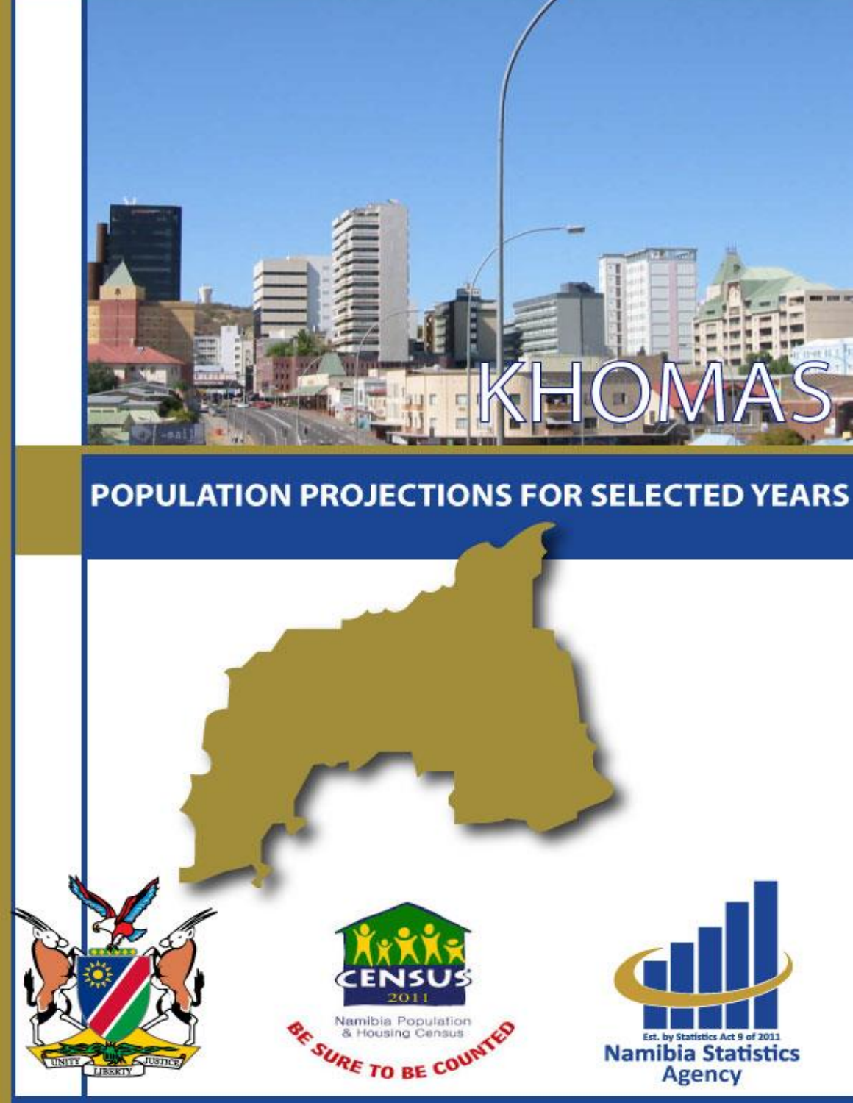

# POPULATION PROJECTIONS FOR SELECTED YEARS

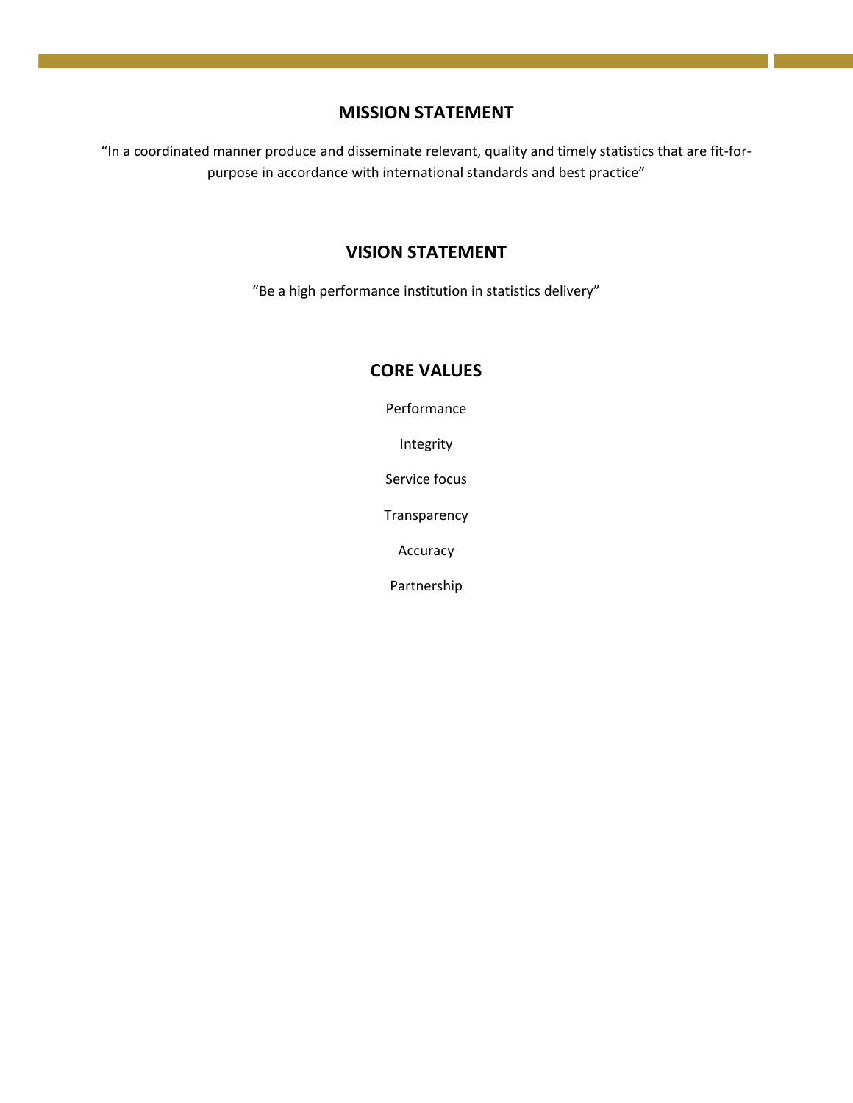#### **MISSION STATEMENT**

"In a coordinated manner produce and disseminate relevant, quality and timely statistics that are fit-forpurpose in accordance with international standards and best practice"

### **VISION STATEMENT**

"Be a high performance institution in statistics delivery"

## **CORE VALUES**

Performance

Integrity

Service focus

Transparency

Accuracy

Partnership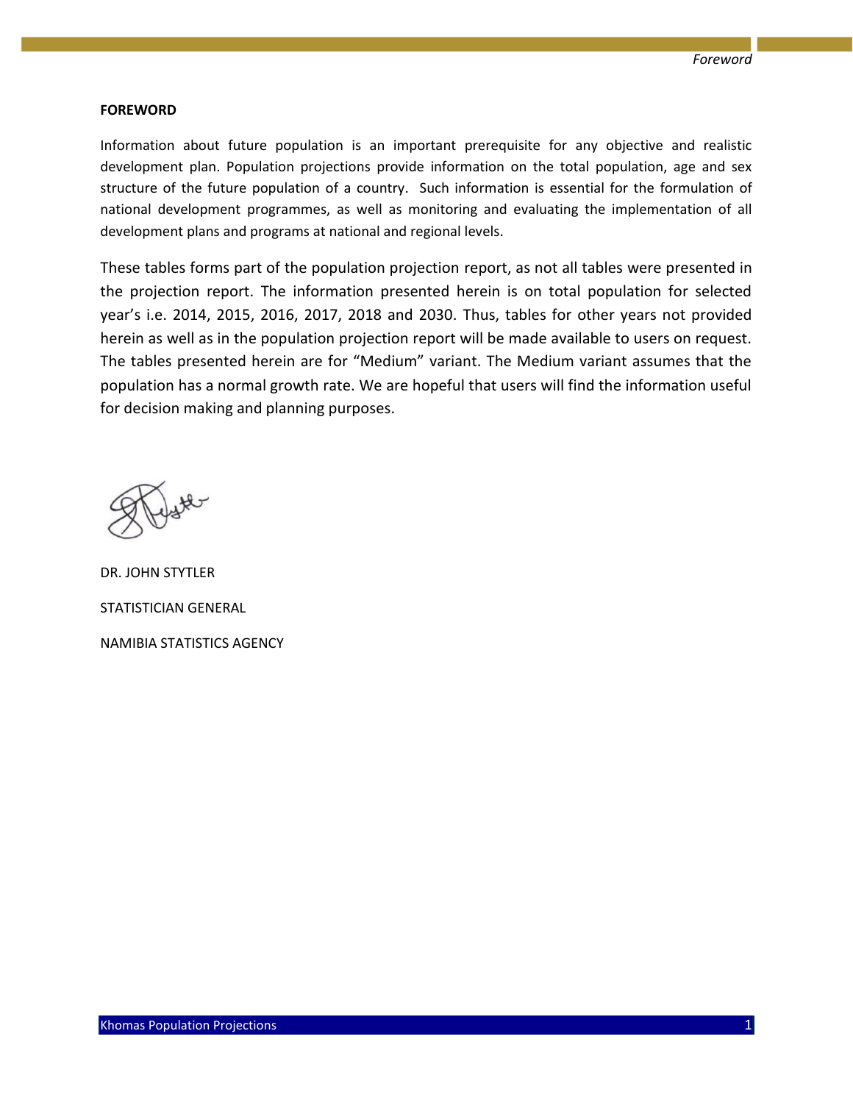#### **FOREWORD**

Information about future population is an important prerequisite for any objective and realistic development plan. Population projections provide information on the total population, age and sex structure of the future population of a country. Such information is essential for the formulation of national development programmes, as well as monitoring and evaluating the implementation of all development plans and programs at national and regional levels.

These tables forms part of the population projection report, as not all tables were presented in the projection report. The information presented herein is on total population for selected year's i.e. 2014, 2015, 2016, 2017, 2018 and 2030. Thus, tables for other years not provided herein as well as in the population projection report will be made available to users on request. The tables presented herein are for "Medium" variant. The Medium variant assumes that the population has a normal growth rate. We are hopeful that users will find the information useful for decision making and planning purposes.

DR. JOHN STYTLER STATISTICIAN GENERAL NAMIBIA STATISTICS AGENCY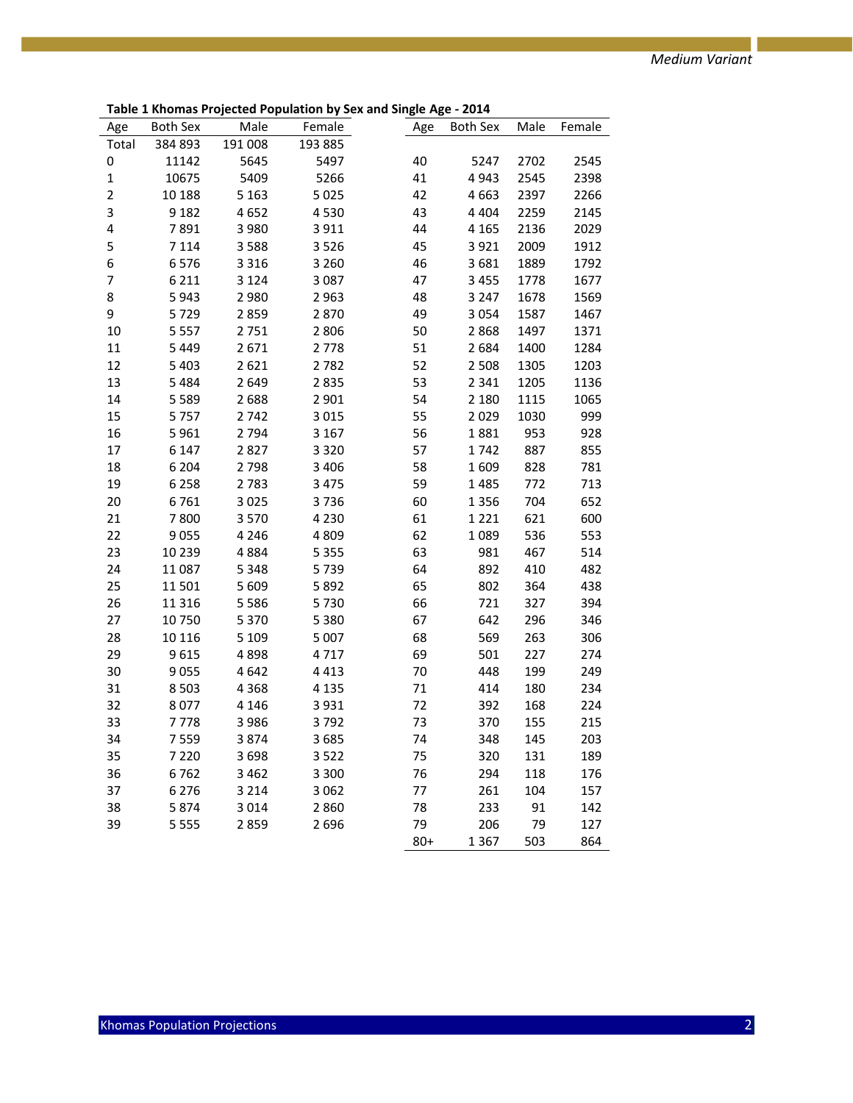|                |          |         | Table 1 Knothas Frojected Population by Jex and Jingle Age - 2014 |        |          |      |             |
|----------------|----------|---------|-------------------------------------------------------------------|--------|----------|------|-------------|
| Age            | Both Sex | Male    | Female                                                            | Age    | Both Sex |      | Male Female |
| Total          | 384 893  | 191 008 | 193 885                                                           |        |          |      |             |
| 0              | 11142    | 5645    | 5497                                                              | 40     | 5247     | 2702 | 2545        |
| $\mathbf 1$    | 10675    | 5409    | 5266                                                              | 41     | 4943     | 2545 | 2398        |
| $\overline{2}$ | 10 188   | 5 1 6 3 | 5025                                                              | 42     | 4663     | 2397 | 2266        |
| 3              | 9 1 8 2  | 4652    | 4530                                                              | 43     | 4 4 0 4  | 2259 | 2145        |
| 4              | 7891     | 3 9 8 0 | 3911                                                              | 44     | 4 1 6 5  | 2136 | 2029        |
| 5              | 7 1 1 4  | 3588    | 3526                                                              | 45     | 3921     | 2009 | 1912        |
| 6              | 6576     | 3 3 1 6 | 3 2 6 0                                                           | 46     | 3681     | 1889 | 1792        |
| $\overline{7}$ | 6 2 1 1  | 3 1 2 4 | 3 0 8 7                                                           | 47     | 3 4 5 5  | 1778 | 1677        |
| 8              | 5943     | 2980    | 2963                                                              | 48     | 3 2 4 7  | 1678 | 1569        |
| 9              | 5729     | 2859    | 2870                                                              | 49     | 3054     | 1587 | 1467        |
| 10             | 5 5 5 7  | 2751    | 2806                                                              | 50     | 2868     | 1497 | 1371        |
| 11             | 5 4 4 9  | 2671    | 2778                                                              | 51     | 2684     | 1400 | 1284        |
| 12             | 5 4 0 3  | 2621    | 2782                                                              | 52     | 2 5 0 8  | 1305 | 1203        |
| 13             | 5 4 8 4  | 2649    | 2835                                                              | 53     | 2 3 4 1  | 1205 | 1136        |
| 14             | 5 5 8 9  | 2688    | 2 9 0 1                                                           | 54     | 2 1 8 0  | 1115 | 1065        |
| 15             | 5757     | 2742    | 3 0 1 5                                                           | 55     | 2029     | 1030 | 999         |
| 16             | 5961     | 2 7 9 4 | 3 1 6 7                                                           | 56     | 1881     | 953  | 928         |
| 17             | 6 1 4 7  | 2827    | 3 3 2 0                                                           | 57     | 1742     | 887  | 855         |
| 18             | 6 2 0 4  | 2798    | 3 4 0 6                                                           | 58     | 1609     | 828  | 781         |
| 19             | 6 2 5 8  | 2 7 8 3 | 3 4 7 5                                                           | 59     | 1485     | 772  | 713         |
| 20             | 6761     | 3025    | 3736                                                              | 60     | 1356     | 704  | 652         |
| 21             | 7800     | 3570    | 4 2 3 0                                                           | 61     | 1 2 2 1  | 621  | 600         |
| 22             | 9055     | 4 2 4 6 | 4 8 0 9                                                           | 62     | 1089     | 536  | 553         |
| 23             | 10 239   | 4884    | 5 3 5 5                                                           | 63     | 981      | 467  | 514         |
| 24             | 11 087   | 5 3 4 8 | 5739                                                              | 64     | 892      | 410  | 482         |
| 25             | 11 501   | 5 6 0 9 | 5892                                                              | 65     | 802      | 364  | 438         |
| 26             | 11 3 16  | 5 5 8 6 | 5730                                                              | 66     | 721      | 327  | 394         |
| 27             | 10 750   | 5 3 7 0 | 5 3 8 0                                                           | 67     | 642      | 296  | 346         |
| 28             | 10 116   | 5 1 0 9 | 5 0 0 7                                                           | 68     | 569      | 263  | 306         |
| 29             | 9615     | 4898    | 4717                                                              | 69     | 501      | 227  | 274         |
| 30             | 9055     | 4642    | 4413                                                              | 70     | 448      | 199  | 249         |
| 31             | 8 5 0 3  | 4 3 6 8 | 4 1 3 5                                                           | 71     | 414      | 180  | 234         |
| 32             | 8077     | 4 1 4 6 | 3931                                                              | 72     | 392      | 168  | 224         |
| 33             | 7778     | 3986    | 3792                                                              | 73     | 370      | 155  | 215         |
| 34             | 7 559    | 3 874   | 3 685                                                             | 74     | 348      | 145  | 203         |
| 35             | 7 2 2 0  | 3698    | 3522                                                              | 75     | 320      | 131  | 189         |
| 36             | 6762     | 3 4 6 2 | 3 3 0 0                                                           | 76     | 294      | 118  | 176         |
| 37             | 6 2 7 6  | 3 2 1 4 | 3 0 6 2                                                           | 77     | 261      | 104  | 157         |
| 38             | 5874     | 3014    | 2860                                                              | 78     | 233      | 91   | 142         |
| 39             | 5 5 5 5  | 2859    | 2696                                                              | 79     | 206      | 79   | 127         |
|                |          |         |                                                                   | $80 +$ | 1367     | 503  | 864         |

**Table 1 Khomas Projected Population by Sex and Single Age - 2014**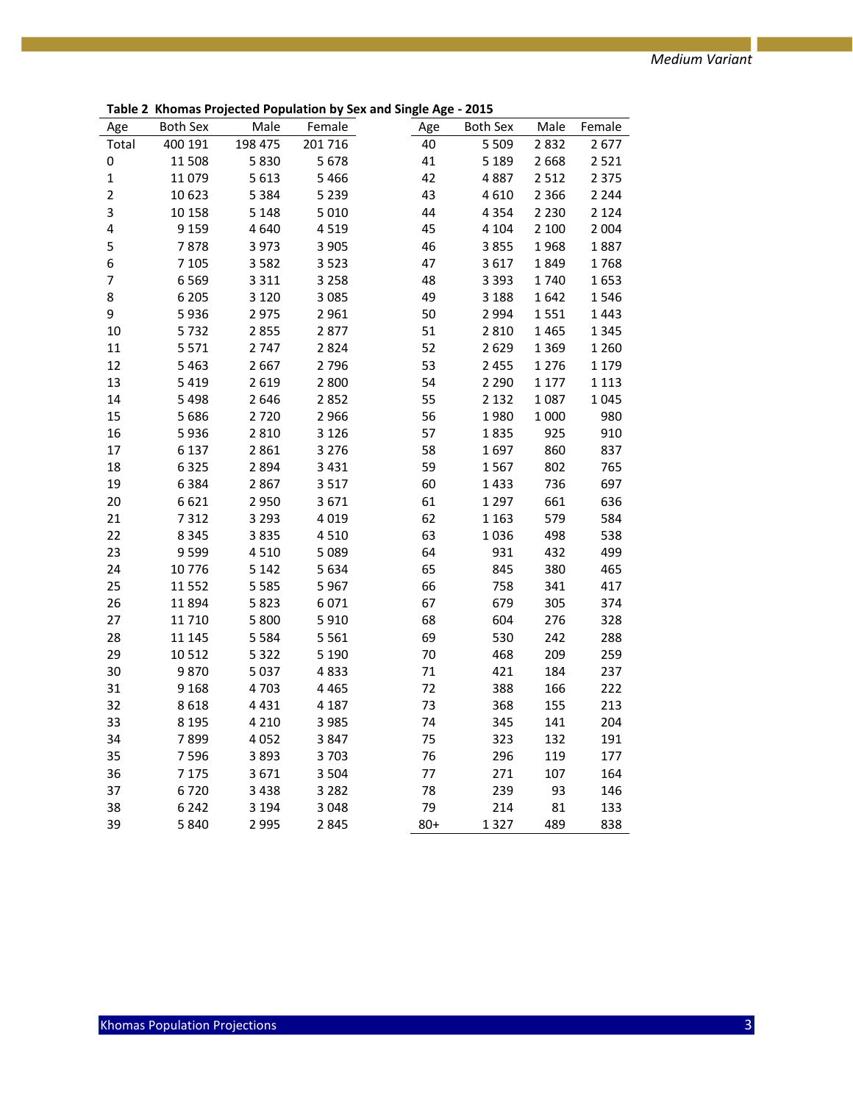**Table 2 Khomas Projected Population by Sex and Single Age - 2015**

| Male<br>Both Sex<br>Male<br>Both Sex<br>Age<br>Age<br>198 475<br>201 716<br>Total<br>400 191<br>40<br>5 5 0 9<br>2832<br>2677<br>41<br>0<br>11 508<br>5830<br>5678<br>5 1 8 9<br>2 6 6 8<br>2521<br>11 0 79<br>5466<br>42<br>$\mathbf 1$<br>5 6 1 3<br>4887<br>2 5 1 2<br>2 3 7 5<br>43<br>$\overline{2}$<br>10 623<br>5 3 8 4<br>5 2 3 9<br>4610<br>2 3 6 6<br>2 2 4 4<br>3<br>10 158<br>5 1 4 8<br>5 0 1 0<br>44<br>4 3 5 4<br>2 2 3 0<br>2 1 2 4<br>4<br>9 1 5 9<br>4519<br>45<br>4640<br>4 1 0 4<br>2 100<br>2 0 0 4<br>5<br>7878<br>3973<br>3 9 0 5<br>46<br>3855<br>1968<br>1887<br>6<br>7 1 0 5<br>47<br>3582<br>3523<br>3617<br>1849<br>1768<br>$\overline{7}$<br>6 5 6 9<br>3 3 1 1<br>3 2 5 8<br>48<br>3 3 9 3<br>1740<br>1653<br>6 2 0 5<br>3 1 2 0<br>3085<br>49<br>1642<br>1546<br>8<br>3 1 8 8<br>9<br>50<br>5936<br>2975<br>2961<br>2 9 9 4<br>1551<br>1443<br>10<br>5732<br>2877<br>51<br>2855<br>2810<br>1465<br>1 3 4 5<br>2747<br>11<br>5 5 7 1<br>2824<br>52<br>2629<br>1 3 6 9<br>1 2 6 0<br>12<br>5 4 6 3<br>2667<br>2796<br>53<br>2 4 5 5<br>1 2 7 6<br>1 1 7 9<br>13<br>54<br>5 4 1 9<br>2619<br>2 8 0 0<br>2 2 9 0<br>1 1 7 7<br>1 1 1 3<br>14<br>5 4 9 8<br>2646<br>2852<br>55<br>2 1 3 2<br>1087<br>1045<br>980<br>15<br>5 6 8 6<br>2720<br>2 9 6 6<br>56<br>1980<br>1 0 0 0<br>16<br>5936<br>2810<br>3 1 2 6<br>57<br>925<br>910<br>1835<br>17<br>6 1 3 7<br>2861<br>3 2 7 6<br>58<br>1697<br>860<br>837<br>18<br>6 3 2 5<br>2894<br>59<br>802<br>765<br>3 4 3 1<br>1567<br>19<br>6 3 8 4<br>2867<br>3517<br>60<br>1433<br>736<br>697<br>636<br>20<br>6621<br>2950<br>3671<br>61<br>1 2 9 7<br>661<br>579<br>584<br>21<br>7312<br>3 2 9 3<br>4019<br>62<br>1 1 6 3<br>22<br>8 3 4 5<br>3835<br>4510<br>63<br>1036<br>498<br>538<br>931<br>499<br>23<br>9 5 9 9<br>4510<br>5089<br>64<br>432<br>24<br>10776<br>5 1 4 2<br>5634<br>65<br>845<br>380<br>465<br>758<br>25<br>11 552<br>5 5 8 5<br>5967<br>66<br>341<br>417<br>26<br>679<br>11 894<br>5823<br>6071<br>67<br>305<br>374<br>27<br>5 800<br>5910<br>68<br>604<br>276<br>328<br>11 710<br>28<br>11 145<br>5 5 8 4<br>5 5 6 1<br>69<br>530<br>242<br>288<br>259<br>29<br>10 5 12<br>5 3 2 2<br>5 1 9 0<br>70<br>468<br>209<br>30<br>$71\,$<br>421<br>9870<br>5 0 3 7<br>4833<br>184<br>237<br>72<br>388<br>222<br>31<br>9 1 6 8<br>4703<br>4 4 6 5<br>166<br>4431<br>213<br>32<br>8618<br>4 1 8 7<br>73<br>368<br>155<br>33<br>74<br>141<br>204<br>8 1 9 5<br>4 2 1 0<br>3 9 8 5<br>345<br>34<br>7899<br>4 0 5 2<br>3847<br>75<br>323<br>132<br>191<br>35<br>7 5 9 6<br>3893<br>3703<br>76<br>296<br>119<br>177<br>36<br>7 1 7 5<br>3671<br>3 5 0 4<br>77<br>271<br>107<br>164<br>37<br>6720<br>3 4 3 8<br>3 2 8 2<br>78<br>239<br>93<br>146<br>38<br>6 2 4 2<br>79<br>214<br>81<br>3 1 9 4<br>3 0 4 8<br>133 |    |      | Monds Projected Population by St |        | יסי ייסי | ---- |        |
|-------------------------------------------------------------------------------------------------------------------------------------------------------------------------------------------------------------------------------------------------------------------------------------------------------------------------------------------------------------------------------------------------------------------------------------------------------------------------------------------------------------------------------------------------------------------------------------------------------------------------------------------------------------------------------------------------------------------------------------------------------------------------------------------------------------------------------------------------------------------------------------------------------------------------------------------------------------------------------------------------------------------------------------------------------------------------------------------------------------------------------------------------------------------------------------------------------------------------------------------------------------------------------------------------------------------------------------------------------------------------------------------------------------------------------------------------------------------------------------------------------------------------------------------------------------------------------------------------------------------------------------------------------------------------------------------------------------------------------------------------------------------------------------------------------------------------------------------------------------------------------------------------------------------------------------------------------------------------------------------------------------------------------------------------------------------------------------------------------------------------------------------------------------------------------------------------------------------------------------------------------------------------------------------------------------------------------------------------------------------------------------------------------------------------------------------------------------------------------------------------------------------------------------------------------------------------------------------------------------------------------------------------------------------------------------------------------------------------------------------------------------------------------------------------|----|------|----------------------------------|--------|----------|------|--------|
|                                                                                                                                                                                                                                                                                                                                                                                                                                                                                                                                                                                                                                                                                                                                                                                                                                                                                                                                                                                                                                                                                                                                                                                                                                                                                                                                                                                                                                                                                                                                                                                                                                                                                                                                                                                                                                                                                                                                                                                                                                                                                                                                                                                                                                                                                                                                                                                                                                                                                                                                                                                                                                                                                                                                                                                                 |    |      |                                  | Female |          |      | Female |
|                                                                                                                                                                                                                                                                                                                                                                                                                                                                                                                                                                                                                                                                                                                                                                                                                                                                                                                                                                                                                                                                                                                                                                                                                                                                                                                                                                                                                                                                                                                                                                                                                                                                                                                                                                                                                                                                                                                                                                                                                                                                                                                                                                                                                                                                                                                                                                                                                                                                                                                                                                                                                                                                                                                                                                                                 |    |      |                                  |        |          |      |        |
|                                                                                                                                                                                                                                                                                                                                                                                                                                                                                                                                                                                                                                                                                                                                                                                                                                                                                                                                                                                                                                                                                                                                                                                                                                                                                                                                                                                                                                                                                                                                                                                                                                                                                                                                                                                                                                                                                                                                                                                                                                                                                                                                                                                                                                                                                                                                                                                                                                                                                                                                                                                                                                                                                                                                                                                                 |    |      |                                  |        |          |      |        |
|                                                                                                                                                                                                                                                                                                                                                                                                                                                                                                                                                                                                                                                                                                                                                                                                                                                                                                                                                                                                                                                                                                                                                                                                                                                                                                                                                                                                                                                                                                                                                                                                                                                                                                                                                                                                                                                                                                                                                                                                                                                                                                                                                                                                                                                                                                                                                                                                                                                                                                                                                                                                                                                                                                                                                                                                 |    |      |                                  |        |          |      |        |
|                                                                                                                                                                                                                                                                                                                                                                                                                                                                                                                                                                                                                                                                                                                                                                                                                                                                                                                                                                                                                                                                                                                                                                                                                                                                                                                                                                                                                                                                                                                                                                                                                                                                                                                                                                                                                                                                                                                                                                                                                                                                                                                                                                                                                                                                                                                                                                                                                                                                                                                                                                                                                                                                                                                                                                                                 |    |      |                                  |        |          |      |        |
|                                                                                                                                                                                                                                                                                                                                                                                                                                                                                                                                                                                                                                                                                                                                                                                                                                                                                                                                                                                                                                                                                                                                                                                                                                                                                                                                                                                                                                                                                                                                                                                                                                                                                                                                                                                                                                                                                                                                                                                                                                                                                                                                                                                                                                                                                                                                                                                                                                                                                                                                                                                                                                                                                                                                                                                                 |    |      |                                  |        |          |      |        |
|                                                                                                                                                                                                                                                                                                                                                                                                                                                                                                                                                                                                                                                                                                                                                                                                                                                                                                                                                                                                                                                                                                                                                                                                                                                                                                                                                                                                                                                                                                                                                                                                                                                                                                                                                                                                                                                                                                                                                                                                                                                                                                                                                                                                                                                                                                                                                                                                                                                                                                                                                                                                                                                                                                                                                                                                 |    |      |                                  |        |          |      |        |
|                                                                                                                                                                                                                                                                                                                                                                                                                                                                                                                                                                                                                                                                                                                                                                                                                                                                                                                                                                                                                                                                                                                                                                                                                                                                                                                                                                                                                                                                                                                                                                                                                                                                                                                                                                                                                                                                                                                                                                                                                                                                                                                                                                                                                                                                                                                                                                                                                                                                                                                                                                                                                                                                                                                                                                                                 |    |      |                                  |        |          |      |        |
|                                                                                                                                                                                                                                                                                                                                                                                                                                                                                                                                                                                                                                                                                                                                                                                                                                                                                                                                                                                                                                                                                                                                                                                                                                                                                                                                                                                                                                                                                                                                                                                                                                                                                                                                                                                                                                                                                                                                                                                                                                                                                                                                                                                                                                                                                                                                                                                                                                                                                                                                                                                                                                                                                                                                                                                                 |    |      |                                  |        |          |      |        |
|                                                                                                                                                                                                                                                                                                                                                                                                                                                                                                                                                                                                                                                                                                                                                                                                                                                                                                                                                                                                                                                                                                                                                                                                                                                                                                                                                                                                                                                                                                                                                                                                                                                                                                                                                                                                                                                                                                                                                                                                                                                                                                                                                                                                                                                                                                                                                                                                                                                                                                                                                                                                                                                                                                                                                                                                 |    |      |                                  |        |          |      |        |
|                                                                                                                                                                                                                                                                                                                                                                                                                                                                                                                                                                                                                                                                                                                                                                                                                                                                                                                                                                                                                                                                                                                                                                                                                                                                                                                                                                                                                                                                                                                                                                                                                                                                                                                                                                                                                                                                                                                                                                                                                                                                                                                                                                                                                                                                                                                                                                                                                                                                                                                                                                                                                                                                                                                                                                                                 |    |      |                                  |        |          |      |        |
|                                                                                                                                                                                                                                                                                                                                                                                                                                                                                                                                                                                                                                                                                                                                                                                                                                                                                                                                                                                                                                                                                                                                                                                                                                                                                                                                                                                                                                                                                                                                                                                                                                                                                                                                                                                                                                                                                                                                                                                                                                                                                                                                                                                                                                                                                                                                                                                                                                                                                                                                                                                                                                                                                                                                                                                                 |    |      |                                  |        |          |      |        |
|                                                                                                                                                                                                                                                                                                                                                                                                                                                                                                                                                                                                                                                                                                                                                                                                                                                                                                                                                                                                                                                                                                                                                                                                                                                                                                                                                                                                                                                                                                                                                                                                                                                                                                                                                                                                                                                                                                                                                                                                                                                                                                                                                                                                                                                                                                                                                                                                                                                                                                                                                                                                                                                                                                                                                                                                 |    |      |                                  |        |          |      |        |
|                                                                                                                                                                                                                                                                                                                                                                                                                                                                                                                                                                                                                                                                                                                                                                                                                                                                                                                                                                                                                                                                                                                                                                                                                                                                                                                                                                                                                                                                                                                                                                                                                                                                                                                                                                                                                                                                                                                                                                                                                                                                                                                                                                                                                                                                                                                                                                                                                                                                                                                                                                                                                                                                                                                                                                                                 |    |      |                                  |        |          |      |        |
|                                                                                                                                                                                                                                                                                                                                                                                                                                                                                                                                                                                                                                                                                                                                                                                                                                                                                                                                                                                                                                                                                                                                                                                                                                                                                                                                                                                                                                                                                                                                                                                                                                                                                                                                                                                                                                                                                                                                                                                                                                                                                                                                                                                                                                                                                                                                                                                                                                                                                                                                                                                                                                                                                                                                                                                                 |    |      |                                  |        |          |      |        |
|                                                                                                                                                                                                                                                                                                                                                                                                                                                                                                                                                                                                                                                                                                                                                                                                                                                                                                                                                                                                                                                                                                                                                                                                                                                                                                                                                                                                                                                                                                                                                                                                                                                                                                                                                                                                                                                                                                                                                                                                                                                                                                                                                                                                                                                                                                                                                                                                                                                                                                                                                                                                                                                                                                                                                                                                 |    |      |                                  |        |          |      |        |
|                                                                                                                                                                                                                                                                                                                                                                                                                                                                                                                                                                                                                                                                                                                                                                                                                                                                                                                                                                                                                                                                                                                                                                                                                                                                                                                                                                                                                                                                                                                                                                                                                                                                                                                                                                                                                                                                                                                                                                                                                                                                                                                                                                                                                                                                                                                                                                                                                                                                                                                                                                                                                                                                                                                                                                                                 |    |      |                                  |        |          |      |        |
|                                                                                                                                                                                                                                                                                                                                                                                                                                                                                                                                                                                                                                                                                                                                                                                                                                                                                                                                                                                                                                                                                                                                                                                                                                                                                                                                                                                                                                                                                                                                                                                                                                                                                                                                                                                                                                                                                                                                                                                                                                                                                                                                                                                                                                                                                                                                                                                                                                                                                                                                                                                                                                                                                                                                                                                                 |    |      |                                  |        |          |      |        |
|                                                                                                                                                                                                                                                                                                                                                                                                                                                                                                                                                                                                                                                                                                                                                                                                                                                                                                                                                                                                                                                                                                                                                                                                                                                                                                                                                                                                                                                                                                                                                                                                                                                                                                                                                                                                                                                                                                                                                                                                                                                                                                                                                                                                                                                                                                                                                                                                                                                                                                                                                                                                                                                                                                                                                                                                 |    |      |                                  |        |          |      |        |
|                                                                                                                                                                                                                                                                                                                                                                                                                                                                                                                                                                                                                                                                                                                                                                                                                                                                                                                                                                                                                                                                                                                                                                                                                                                                                                                                                                                                                                                                                                                                                                                                                                                                                                                                                                                                                                                                                                                                                                                                                                                                                                                                                                                                                                                                                                                                                                                                                                                                                                                                                                                                                                                                                                                                                                                                 |    |      |                                  |        |          |      |        |
|                                                                                                                                                                                                                                                                                                                                                                                                                                                                                                                                                                                                                                                                                                                                                                                                                                                                                                                                                                                                                                                                                                                                                                                                                                                                                                                                                                                                                                                                                                                                                                                                                                                                                                                                                                                                                                                                                                                                                                                                                                                                                                                                                                                                                                                                                                                                                                                                                                                                                                                                                                                                                                                                                                                                                                                                 |    |      |                                  |        |          |      |        |
|                                                                                                                                                                                                                                                                                                                                                                                                                                                                                                                                                                                                                                                                                                                                                                                                                                                                                                                                                                                                                                                                                                                                                                                                                                                                                                                                                                                                                                                                                                                                                                                                                                                                                                                                                                                                                                                                                                                                                                                                                                                                                                                                                                                                                                                                                                                                                                                                                                                                                                                                                                                                                                                                                                                                                                                                 |    |      |                                  |        |          |      |        |
|                                                                                                                                                                                                                                                                                                                                                                                                                                                                                                                                                                                                                                                                                                                                                                                                                                                                                                                                                                                                                                                                                                                                                                                                                                                                                                                                                                                                                                                                                                                                                                                                                                                                                                                                                                                                                                                                                                                                                                                                                                                                                                                                                                                                                                                                                                                                                                                                                                                                                                                                                                                                                                                                                                                                                                                                 |    |      |                                  |        |          |      |        |
|                                                                                                                                                                                                                                                                                                                                                                                                                                                                                                                                                                                                                                                                                                                                                                                                                                                                                                                                                                                                                                                                                                                                                                                                                                                                                                                                                                                                                                                                                                                                                                                                                                                                                                                                                                                                                                                                                                                                                                                                                                                                                                                                                                                                                                                                                                                                                                                                                                                                                                                                                                                                                                                                                                                                                                                                 |    |      |                                  |        |          |      |        |
|                                                                                                                                                                                                                                                                                                                                                                                                                                                                                                                                                                                                                                                                                                                                                                                                                                                                                                                                                                                                                                                                                                                                                                                                                                                                                                                                                                                                                                                                                                                                                                                                                                                                                                                                                                                                                                                                                                                                                                                                                                                                                                                                                                                                                                                                                                                                                                                                                                                                                                                                                                                                                                                                                                                                                                                                 |    |      |                                  |        |          |      |        |
|                                                                                                                                                                                                                                                                                                                                                                                                                                                                                                                                                                                                                                                                                                                                                                                                                                                                                                                                                                                                                                                                                                                                                                                                                                                                                                                                                                                                                                                                                                                                                                                                                                                                                                                                                                                                                                                                                                                                                                                                                                                                                                                                                                                                                                                                                                                                                                                                                                                                                                                                                                                                                                                                                                                                                                                                 |    |      |                                  |        |          |      |        |
|                                                                                                                                                                                                                                                                                                                                                                                                                                                                                                                                                                                                                                                                                                                                                                                                                                                                                                                                                                                                                                                                                                                                                                                                                                                                                                                                                                                                                                                                                                                                                                                                                                                                                                                                                                                                                                                                                                                                                                                                                                                                                                                                                                                                                                                                                                                                                                                                                                                                                                                                                                                                                                                                                                                                                                                                 |    |      |                                  |        |          |      |        |
|                                                                                                                                                                                                                                                                                                                                                                                                                                                                                                                                                                                                                                                                                                                                                                                                                                                                                                                                                                                                                                                                                                                                                                                                                                                                                                                                                                                                                                                                                                                                                                                                                                                                                                                                                                                                                                                                                                                                                                                                                                                                                                                                                                                                                                                                                                                                                                                                                                                                                                                                                                                                                                                                                                                                                                                                 |    |      |                                  |        |          |      |        |
|                                                                                                                                                                                                                                                                                                                                                                                                                                                                                                                                                                                                                                                                                                                                                                                                                                                                                                                                                                                                                                                                                                                                                                                                                                                                                                                                                                                                                                                                                                                                                                                                                                                                                                                                                                                                                                                                                                                                                                                                                                                                                                                                                                                                                                                                                                                                                                                                                                                                                                                                                                                                                                                                                                                                                                                                 |    |      |                                  |        |          |      |        |
|                                                                                                                                                                                                                                                                                                                                                                                                                                                                                                                                                                                                                                                                                                                                                                                                                                                                                                                                                                                                                                                                                                                                                                                                                                                                                                                                                                                                                                                                                                                                                                                                                                                                                                                                                                                                                                                                                                                                                                                                                                                                                                                                                                                                                                                                                                                                                                                                                                                                                                                                                                                                                                                                                                                                                                                                 |    |      |                                  |        |          |      |        |
|                                                                                                                                                                                                                                                                                                                                                                                                                                                                                                                                                                                                                                                                                                                                                                                                                                                                                                                                                                                                                                                                                                                                                                                                                                                                                                                                                                                                                                                                                                                                                                                                                                                                                                                                                                                                                                                                                                                                                                                                                                                                                                                                                                                                                                                                                                                                                                                                                                                                                                                                                                                                                                                                                                                                                                                                 |    |      |                                  |        |          |      |        |
|                                                                                                                                                                                                                                                                                                                                                                                                                                                                                                                                                                                                                                                                                                                                                                                                                                                                                                                                                                                                                                                                                                                                                                                                                                                                                                                                                                                                                                                                                                                                                                                                                                                                                                                                                                                                                                                                                                                                                                                                                                                                                                                                                                                                                                                                                                                                                                                                                                                                                                                                                                                                                                                                                                                                                                                                 |    |      |                                  |        |          |      |        |
|                                                                                                                                                                                                                                                                                                                                                                                                                                                                                                                                                                                                                                                                                                                                                                                                                                                                                                                                                                                                                                                                                                                                                                                                                                                                                                                                                                                                                                                                                                                                                                                                                                                                                                                                                                                                                                                                                                                                                                                                                                                                                                                                                                                                                                                                                                                                                                                                                                                                                                                                                                                                                                                                                                                                                                                                 |    |      |                                  |        |          |      |        |
|                                                                                                                                                                                                                                                                                                                                                                                                                                                                                                                                                                                                                                                                                                                                                                                                                                                                                                                                                                                                                                                                                                                                                                                                                                                                                                                                                                                                                                                                                                                                                                                                                                                                                                                                                                                                                                                                                                                                                                                                                                                                                                                                                                                                                                                                                                                                                                                                                                                                                                                                                                                                                                                                                                                                                                                                 |    |      |                                  |        |          |      |        |
|                                                                                                                                                                                                                                                                                                                                                                                                                                                                                                                                                                                                                                                                                                                                                                                                                                                                                                                                                                                                                                                                                                                                                                                                                                                                                                                                                                                                                                                                                                                                                                                                                                                                                                                                                                                                                                                                                                                                                                                                                                                                                                                                                                                                                                                                                                                                                                                                                                                                                                                                                                                                                                                                                                                                                                                                 |    |      |                                  |        |          |      |        |
|                                                                                                                                                                                                                                                                                                                                                                                                                                                                                                                                                                                                                                                                                                                                                                                                                                                                                                                                                                                                                                                                                                                                                                                                                                                                                                                                                                                                                                                                                                                                                                                                                                                                                                                                                                                                                                                                                                                                                                                                                                                                                                                                                                                                                                                                                                                                                                                                                                                                                                                                                                                                                                                                                                                                                                                                 |    |      |                                  |        |          |      |        |
|                                                                                                                                                                                                                                                                                                                                                                                                                                                                                                                                                                                                                                                                                                                                                                                                                                                                                                                                                                                                                                                                                                                                                                                                                                                                                                                                                                                                                                                                                                                                                                                                                                                                                                                                                                                                                                                                                                                                                                                                                                                                                                                                                                                                                                                                                                                                                                                                                                                                                                                                                                                                                                                                                                                                                                                                 |    |      |                                  |        |          |      |        |
|                                                                                                                                                                                                                                                                                                                                                                                                                                                                                                                                                                                                                                                                                                                                                                                                                                                                                                                                                                                                                                                                                                                                                                                                                                                                                                                                                                                                                                                                                                                                                                                                                                                                                                                                                                                                                                                                                                                                                                                                                                                                                                                                                                                                                                                                                                                                                                                                                                                                                                                                                                                                                                                                                                                                                                                                 |    |      |                                  |        |          |      |        |
|                                                                                                                                                                                                                                                                                                                                                                                                                                                                                                                                                                                                                                                                                                                                                                                                                                                                                                                                                                                                                                                                                                                                                                                                                                                                                                                                                                                                                                                                                                                                                                                                                                                                                                                                                                                                                                                                                                                                                                                                                                                                                                                                                                                                                                                                                                                                                                                                                                                                                                                                                                                                                                                                                                                                                                                                 |    |      |                                  |        |          |      |        |
|                                                                                                                                                                                                                                                                                                                                                                                                                                                                                                                                                                                                                                                                                                                                                                                                                                                                                                                                                                                                                                                                                                                                                                                                                                                                                                                                                                                                                                                                                                                                                                                                                                                                                                                                                                                                                                                                                                                                                                                                                                                                                                                                                                                                                                                                                                                                                                                                                                                                                                                                                                                                                                                                                                                                                                                                 |    |      |                                  |        |          |      |        |
|                                                                                                                                                                                                                                                                                                                                                                                                                                                                                                                                                                                                                                                                                                                                                                                                                                                                                                                                                                                                                                                                                                                                                                                                                                                                                                                                                                                                                                                                                                                                                                                                                                                                                                                                                                                                                                                                                                                                                                                                                                                                                                                                                                                                                                                                                                                                                                                                                                                                                                                                                                                                                                                                                                                                                                                                 |    |      |                                  |        |          |      |        |
| $80 +$<br>489                                                                                                                                                                                                                                                                                                                                                                                                                                                                                                                                                                                                                                                                                                                                                                                                                                                                                                                                                                                                                                                                                                                                                                                                                                                                                                                                                                                                                                                                                                                                                                                                                                                                                                                                                                                                                                                                                                                                                                                                                                                                                                                                                                                                                                                                                                                                                                                                                                                                                                                                                                                                                                                                                                                                                                                   | 39 | 5840 | 2 9 9 5                          | 2845   |          | 1327 | 838    |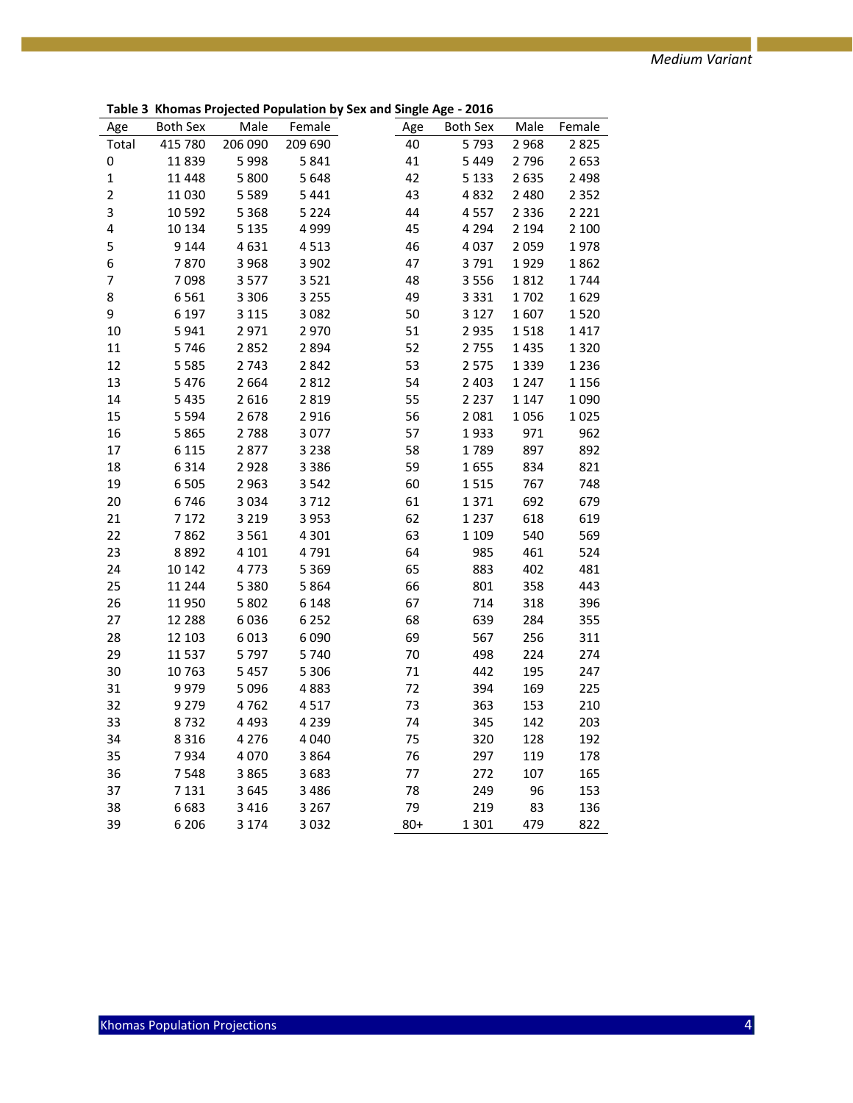|                |          |         | Montas Projected Population by | יסיי ייסייי | $-0.10$  |         |         |
|----------------|----------|---------|--------------------------------|-------------|----------|---------|---------|
| Age            | Both Sex | Male    | Female                         | Age         | Both Sex | Male    | Female  |
| Total          | 415 780  | 206 090 | 209 690                        | 40          | 5793     | 2968    | 2825    |
| 0              | 11839    | 5998    | 5841                           | 41          | 5 4 4 9  | 2796    | 2653    |
| $\mathbf 1$    | 11 4 48  | 5 800   | 5 6 4 8                        | 42          | 5 1 3 3  | 2635    | 2 4 9 8 |
| $\overline{c}$ | 11 0 30  | 5 5 8 9 | 5 4 4 1                        | 43          | 4832     | 2 4 8 0 | 2 3 5 2 |
| 3              | 10 5 92  | 5 3 6 8 | 5 2 2 4                        | 44          | 4557     | 2 3 3 6 | 2 2 2 1 |
| 4              | 10 134   | 5 1 3 5 | 4 9 9 9                        | 45          | 4 2 9 4  | 2 1 9 4 | 2 100   |
| 5              | 9 1 4 4  | 4631    | 4513                           | 46          | 4 0 3 7  | 2059    | 1978    |
| 6              | 7870     | 3 9 6 8 | 3 9 0 2                        | 47          | 3791     | 1929    | 1862    |
| $\overline{7}$ | 7098     | 3577    | 3521                           | 48          | 3 5 5 6  | 1812    | 1744    |
| 8              | 6561     | 3 3 0 6 | 3 2 5 5                        | 49          | 3 3 3 1  | 1702    | 1629    |
| 9              | 6 1 9 7  | 3 1 1 5 | 3 0 8 2                        | 50          | 3 1 2 7  | 1607    | 1520    |
| 10             | 5941     | 2971    | 2970                           | 51          | 2 9 3 5  | 1518    | 1417    |
| $11\,$         | 5746     | 2852    | 2894                           | 52          | 2755     | 1435    | 1320    |
| 12             | 5 5 8 5  | 2743    | 2842                           | 53          | 2 5 7 5  | 1339    | 1236    |
| 13             | 5476     | 2664    | 2812                           | 54          | 2 4 0 3  | 1 2 4 7 | 1 1 5 6 |
| 14             | 5435     | 2616    | 2 8 1 9                        | 55          | 2 2 3 7  | 1 1 4 7 | 1 0 9 0 |
| 15             | 5 5 9 4  | 2678    | 2 9 1 6                        | 56          | 2 0 8 1  | 1056    | 1025    |
| 16             | 5865     | 2788    | 3 0 7 7                        | 57          | 1933     | 971     | 962     |
| 17             | 6 1 1 5  | 2877    | 3 2 3 8                        | 58          | 1789     | 897     | 892     |
| 18             | 6314     | 2928    | 3 3 8 6                        | 59          | 1655     | 834     | 821     |
| 19             | 6505     | 2963    | 3 5 4 2                        | 60          | 1515     | 767     | 748     |
| 20             | 6746     | 3034    | 3712                           | 61          | 1371     | 692     | 679     |
| 21             | 7 1 7 2  | 3 2 1 9 | 3 9 5 3                        | 62          | 1 2 3 7  | 618     | 619     |
| 22             | 7862     | 3561    | 4 3 0 1                        | 63          | 1 1 0 9  | 540     | 569     |
| 23             | 8892     | 4 1 0 1 | 4791                           | 64          | 985      | 461     | 524     |
| 24             | 10 142   | 4773    | 5 3 6 9                        | 65          | 883      | 402     | 481     |
| 25             | 11 244   | 5 3 8 0 | 5 8 6 4                        | 66          | 801      | 358     | 443     |
| 26             | 11 950   | 5 8 0 2 | 6 1 4 8                        | 67          | 714      | 318     | 396     |
| 27             | 12 2 8 8 | 6036    | 6 2 5 2                        | 68          | 639      | 284     | 355     |
| 28             | 12 103   | 6013    | 6 0 9 0                        | 69          | 567      | 256     | 311     |
| 29             | 11 5 37  | 5797    | 5740                           | 70          | 498      | 224     | 274     |
| 30             | 10763    | 5 4 5 7 | 5 3 0 6                        | 71          | 442      | 195     | 247     |
| 31             | 9979     | 5 0 9 6 | 4883                           | 72          | 394      | 169     | 225     |
| 32             | 9 2 7 9  | 4762    | 4517                           | 73          | 363      | 153     | 210     |
| 33             | 8732     | 4 4 9 3 | 4 2 3 9                        | 74          | 345      | 142     | 203     |
| 34             | 8 3 1 6  | 4 2 7 6 | 4 0 4 0                        | 75          | 320      | 128     | 192     |
| 35             | 7934     | 4 0 7 0 | 3864                           | 76          | 297      | 119     | 178     |
| 36             | 7548     | 3865    | 3683                           | 77          | 272      | 107     | 165     |
| 37             | 7 1 3 1  | 3645    | 3 4 8 6                        | 78          | 249      | 96      | 153     |
| 38             | 6683     | 3 4 1 6 | 3 2 6 7                        | 79          | 219      | 83      | 136     |
| 39             | 6 2 0 6  | 3 1 7 4 | 3 0 3 2                        | $80+$       | 1 3 0 1  | 479     | 822     |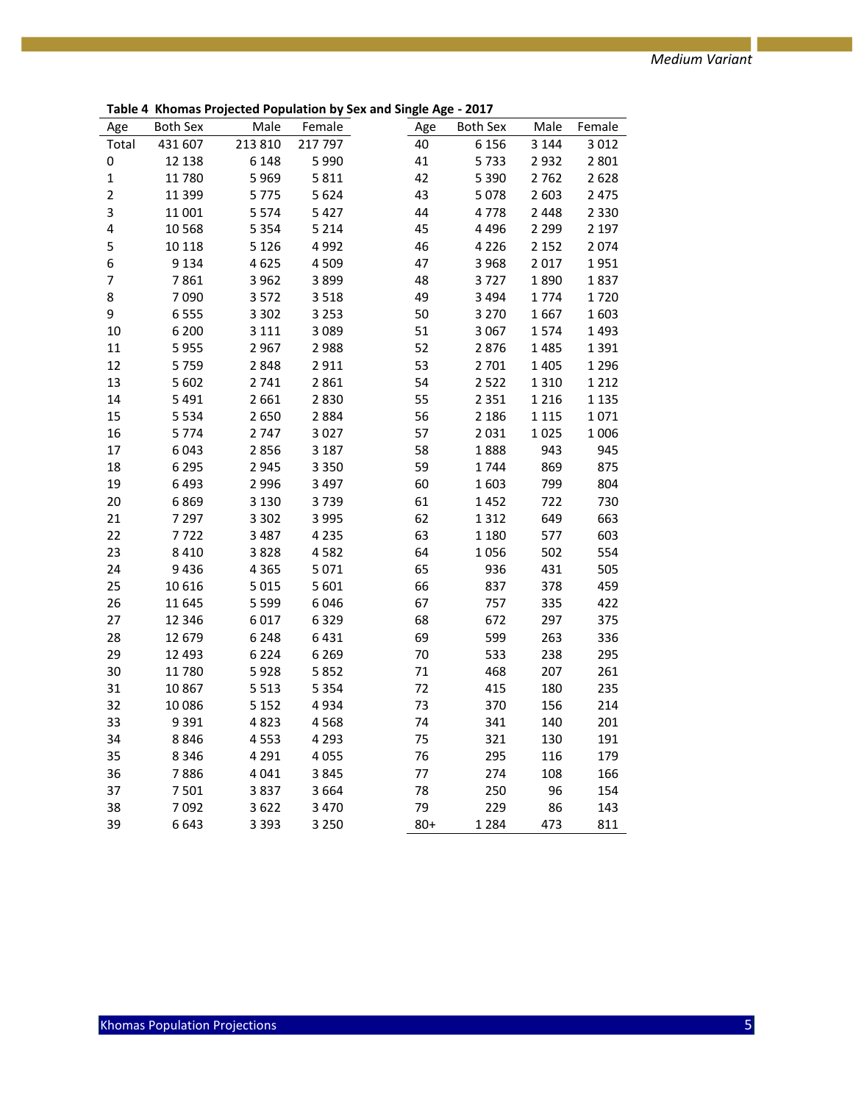**Table 4 Khomas Projected Population by Sex and Single Age - 2017**

| Age            | <b>Both Sex</b> | Male    | Female  | Age   | <b>Both Sex</b> | Male    | Female  |
|----------------|-----------------|---------|---------|-------|-----------------|---------|---------|
| Total          | 431 607         | 213 810 | 217 797 | 40    | 6 1 5 6         | 3 1 4 4 | 3 0 1 2 |
| 0              | 12 138          | 6 1 4 8 | 5 9 9 0 | 41    | 5733            | 2932    | 2 8 0 1 |
| $\mathbf 1$    | 11780           | 5969    | 5811    | 42    | 5 3 9 0         | 2762    | 2628    |
| $\overline{2}$ | 11 399          | 5775    | 5 6 2 4 | 43    | 5 0 7 8         | 2 6 0 3 | 2 4 7 5 |
| 3              | 11 001          | 5574    | 5 4 2 7 | 44    | 4778            | 2 4 4 8 | 2 3 3 0 |
| 4              | 10 5 68         | 5 3 5 4 | 5 2 1 4 | 45    | 4 4 9 6         | 2 2 9 9 | 2 1 9 7 |
| 5              | 10 118          | 5 1 2 6 | 4 9 9 2 | 46    | 4 2 2 6         | 2 1 5 2 | 2074    |
| 6              | 9 1 3 4         | 4625    | 4 5 0 9 | 47    | 3 9 6 8         | 2017    | 1951    |
| $\overline{7}$ | 7861            | 3 9 6 2 | 3899    | 48    | 3727            | 1890    | 1837    |
| 8              | 7090            | 3572    | 3 5 1 8 | 49    | 3 4 9 4         | 1774    | 1720    |
| 9              | 6555            | 3 3 0 2 | 3 2 5 3 | 50    | 3 2 7 0         | 1667    | 1603    |
| 10             | 6 200           | 3 1 1 1 | 3 0 8 9 | 51    | 3 0 6 7         | 1574    | 1493    |
| 11             | 5955            | 2967    | 2 9 8 8 | 52    | 2876            | 1485    | 1 3 9 1 |
| 12             | 5759            | 2848    | 2911    | 53    | 2 701           | 1405    | 1 2 9 6 |
| 13             | 5 6 0 2         | 2741    | 2861    | 54    | 2 5 2 2         | 1310    | 1 2 1 2 |
| 14             | 5 4 9 1         | 2661    | 2830    | 55    | 2 3 5 1         | 1 2 1 6 | 1 1 3 5 |
| 15             | 5 5 3 4         | 2650    | 2884    | 56    | 2 1 8 6         | 1 1 1 5 | 1071    |
| 16             | 5774            | 2747    | 3 0 2 7 | 57    | 2 0 3 1         | 1025    | 1 0 0 6 |
| 17             | 6043            | 2856    | 3 1 8 7 | 58    | 1888            | 943     | 945     |
| 18             | 6 2 9 5         | 2945    | 3 3 5 0 | 59    | 1744            | 869     | 875     |
| 19             | 6493            | 2 9 9 6 | 3 4 9 7 | 60    | 1603            | 799     | 804     |
| 20             | 6869            | 3 1 3 0 | 3739    | 61    | 1452            | 722     | 730     |
| 21             | 7 2 9 7         | 3 3 0 2 | 3 9 9 5 | 62    | 1312            | 649     | 663     |
| 22             | 7722            | 3 4 8 7 | 4 2 3 5 | 63    | 1 1 8 0         | 577     | 603     |
| 23             | 8 4 1 0         | 3828    | 4582    | 64    | 1056            | 502     | 554     |
| 24             | 9436            | 4 3 6 5 | 5 0 7 1 | 65    | 936             | 431     | 505     |
| 25             | 10 6 16         | 5 0 1 5 | 5 601   | 66    | 837             | 378     | 459     |
| 26             | 11 645          | 5 5 9 9 | 6 0 4 6 | 67    | 757             | 335     | 422     |
| 27             | 12 346          | 6017    | 6329    | 68    | 672             | 297     | 375     |
| 28             | 12 679          | 6 2 4 8 | 6431    | 69    | 599             | 263     | 336     |
| 29             | 12 4 93         | 6 2 2 4 | 6 2 6 9 | 70    | 533             | 238     | 295     |
| 30             | 11780           | 5928    | 5852    | 71    | 468             | 207     | 261     |
| 31             | 10867           | 5 5 1 3 | 5 3 5 4 | 72    | 415             | 180     | 235     |
| 32             | 10 0 86         | 5 1 5 2 | 4934    | 73    | 370             | 156     | 214     |
| 33             | 9 3 9 1         | 4823    | 4568    | 74    | 341             | 140     | 201     |
| 34             | 8846            | 4553    | 4 2 9 3 | 75    | 321             | 130     | 191     |
| 35             | 8 3 4 6         | 4 2 9 1 | 4 0 5 5 | 76    | 295             | 116     | 179     |
| 36             | 7886            | 4041    | 3845    | 77    | 274             | 108     | 166     |
| 37             | 7501            | 3837    | 3 6 6 4 | 78    | 250             | 96      | 154     |
| 38             | 7092            | 3622    | 3 4 7 0 | 79    | 229             | 86      | 143     |
| 39             | 6643            | 3 3 9 3 | 3 2 5 0 | $80+$ | 1 2 8 4         | 473     | 811     |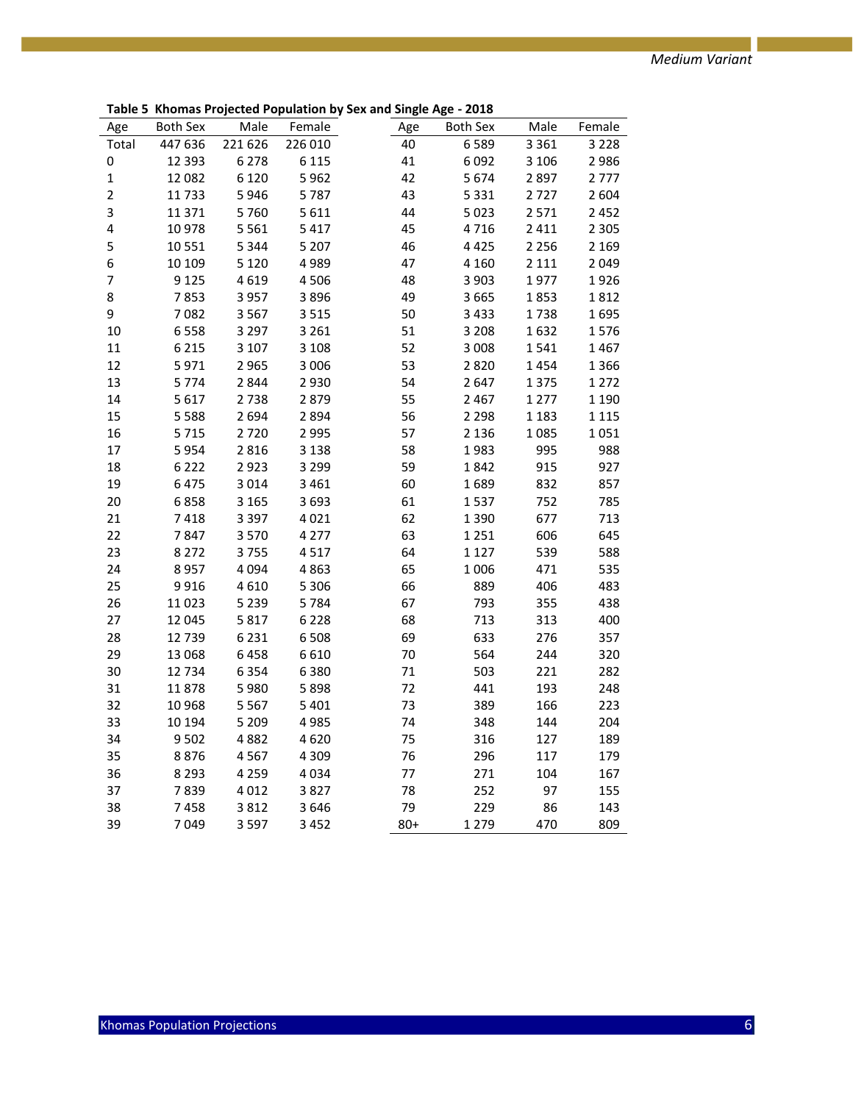**Table 5 Khomas Projected Population by Sex and Single Age - 2018**

|                |                 |         | Monas Projected Population by | י סהי היישיי י | $-0.40$  |         |         |
|----------------|-----------------|---------|-------------------------------|----------------|----------|---------|---------|
| Age            | <b>Both Sex</b> | Male    | Female                        | Age            | Both Sex | Male    | Female  |
| Total          | 447 636         | 221 626 | 226 010                       | 40             | 6589     | 3 3 6 1 | 3 2 2 8 |
| 0              | 12 3 93         | 6 2 7 8 | 6 1 1 5                       | 41             | 6092     | 3 1 0 6 | 2 9 8 6 |
| $\mathbf 1$    | 12 082          | 6 1 2 0 | 5962                          | 42             | 5674     | 2897    | 2777    |
| $\overline{2}$ | 11733           | 5946    | 5787                          | 43             | 5 3 3 1  | 2727    | 2 6 0 4 |
| 3              | 11 371          | 5760    | 5 6 1 1                       | 44             | 5 0 23   | 2 5 7 1 | 2 4 5 2 |
| 4              | 10 978          | 5 5 6 1 | 5 4 1 7                       | 45             | 4716     | 2 4 1 1 | 2 3 0 5 |
| 5              | 10 551          | 5 3 4 4 | 5 2 0 7                       | 46             | 4 4 2 5  | 2 2 5 6 | 2 1 6 9 |
| 6              | 10 109          | 5 1 2 0 | 4989                          | 47             | 4 1 6 0  | 2 1 1 1 | 2 0 4 9 |
| 7              | 9 1 2 5         | 4619    | 4 5 0 6                       | 48             | 3 9 0 3  | 1977    | 1926    |
| 8              | 7853            | 3 9 5 7 | 3896                          | 49             | 3 6 6 5  | 1853    | 1812    |
| 9              | 7082            | 3 5 6 7 | 3 5 1 5                       | 50             | 3 4 3 3  | 1738    | 1695    |
| 10             | 6558            | 3 2 9 7 | 3 2 6 1                       | 51             | 3 2 0 8  | 1632    | 1576    |
| 11             | 6 2 1 5         | 3 1 0 7 | 3 1 0 8                       | 52             | 3 0 0 8  | 1541    | 1467    |
| 12             | 5971            | 2965    | 3 0 0 6                       | 53             | 2820     | 1454    | 1 3 6 6 |
| 13             | 5774            | 2844    | 2 9 3 0                       | 54             | 2647     | 1 3 7 5 | 1 2 7 2 |
| 14             | 5617            | 2738    | 2879                          | 55             | 2 4 6 7  | 1 2 7 7 | 1 1 9 0 |
| 15             | 5588            | 2694    | 2894                          | 56             | 2 2 9 8  | 1 1 8 3 | 1 1 1 5 |
| 16             | 5715            | 2720    | 2 9 9 5                       | 57             | 2 1 3 6  | 1085    | 1051    |
| 17             | 5954            | 2816    | 3 1 3 8                       | 58             | 1983     | 995     | 988     |
| 18             | 6222            | 2923    | 3 2 9 9                       | 59             | 1842     | 915     | 927     |
| 19             | 6475            | 3014    | 3 4 6 1                       | 60             | 1689     | 832     | 857     |
| 20             | 6858            | 3 1 6 5 | 3693                          | 61             | 1537     | 752     | 785     |
| 21             | 7418            | 3 3 9 7 | 4 0 2 1                       | 62             | 1 3 9 0  | 677     | 713     |
| 22             | 7847            | 3570    | 4 2 7 7                       | 63             | 1 2 5 1  | 606     | 645     |
| 23             | 8 2 7 2         | 3755    | 4517                          | 64             | 1 1 2 7  | 539     | 588     |
| 24             | 8957            | 4 0 9 4 | 4863                          | 65             | 1 0 0 6  | 471     | 535     |
| 25             | 9916            | 4610    | 5 3 0 6                       | 66             | 889      | 406     | 483     |
| 26             | 11 023          | 5 2 3 9 | 5784                          | 67             | 793      | 355     | 438     |
| 27             | 12 045          | 5817    | 6 2 2 8                       | 68             | 713      | 313     | 400     |
| 28             | 12 739          | 6 2 3 1 | 6 5 0 8                       | 69             | 633      | 276     | 357     |
| 29             | 13 068          | 6458    | 6610                          | 70             | 564      | 244     | 320     |
| 30             | 12 734          | 6 3 5 4 | 6 3 8 0                       | 71             | 503      | 221     | 282     |
| 31             | 11878           | 5980    | 5898                          | 72             | 441      | 193     | 248     |
| 32             | 10 968          | 5 5 6 7 | 5 4 0 1                       | 73             | 389      | 166     | 223     |
| 33             | 10 194          | 5 2 0 9 | 4985                          | 74             | 348      | 144     | 204     |
| 34             | 9502            | 4882    | 4620                          | 75             | 316      | 127     | 189     |
| 35             | 8876            | 4567    | 4 3 0 9                       | 76             | 296      | 117     | 179     |
| 36             | 8 2 9 3         | 4 2 5 9 | 4 0 3 4                       | 77             | 271      | 104     | 167     |
| 37             | 7839            | 4 0 1 2 | 3827                          | 78             | 252      | 97      | 155     |
| 38             | 7458            | 3812    | 3646                          | 79             | 229      | 86      | 143     |
| 39             | 7049            | 3 5 9 7 | 3 4 5 2                       | $80+$          | 1 2 7 9  | 470     | 809     |
|                |                 |         |                               |                |          |         |         |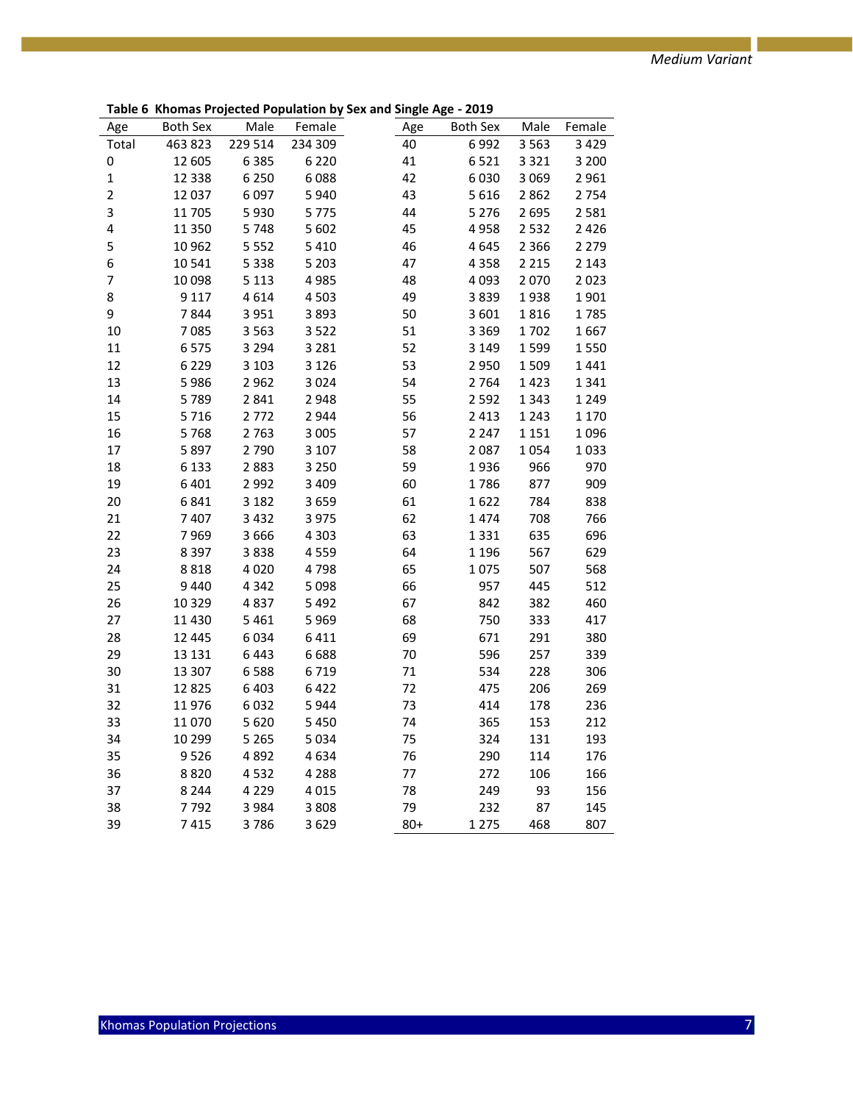**Table 6 Khomas Projected Population by Sex and Single Age - 2019**

| Age                      | <b>Both Sex</b> | Male    | Female  | Age   | <b>Both Sex</b> | Male    | Female  |
|--------------------------|-----------------|---------|---------|-------|-----------------|---------|---------|
| Total                    | 463 823         | 229 514 | 234 309 | 40    | 6992            | 3 5 6 3 | 3 4 2 9 |
| 0                        | 12 605          | 6385    | 6 2 2 0 | 41    | 6521            | 3 3 2 1 | 3 2 0 0 |
| $\mathbf 1$              | 12 3 38         | 6 2 5 0 | 6088    | 42    | 6030            | 3 0 6 9 | 2 9 6 1 |
| $\overline{2}$           | 12 037          | 6097    | 5940    | 43    | 5616            | 2862    | 2 7 5 4 |
| 3                        | 11 705          | 5930    | 5775    | 44    | 5 2 7 6         | 2695    | 2 5 8 1 |
| 4                        | 11 350          | 5748    | 5 6 0 2 | 45    | 4958            | 2532    | 2 4 2 6 |
| 5                        | 10 962          | 5 5 5 2 | 5 4 1 0 | 46    | 4645            | 2 3 6 6 | 2 2 7 9 |
| 6                        | 10541           | 5 3 3 8 | 5 2 0 3 | 47    | 4 3 5 8         | 2 2 1 5 | 2 1 4 3 |
| $\overline{\mathcal{I}}$ | 10 098          | 5 1 1 3 | 4985    | 48    | 4093            | 2070    | 2023    |
| 8                        | 9 1 1 7         | 4614    | 4503    | 49    | 3839            | 1938    | 1901    |
| 9                        | 7844            | 3 9 5 1 | 3893    | 50    | 3601            | 1816    | 1785    |
| 10                       | 7085            | 3 5 6 3 | 3522    | 51    | 3 3 6 9         | 1702    | 1667    |
| 11                       | 6575            | 3 2 9 4 | 3 2 8 1 | 52    | 3 1 4 9         | 1599    | 1550    |
| 12                       | 6229            | 3 1 0 3 | 3 1 2 6 | 53    | 2950            | 1509    | 1441    |
| 13                       | 5986            | 2962    | 3024    | 54    | 2764            | 1423    | 1 3 4 1 |
| 14                       | 5789            | 2841    | 2948    | 55    | 2 5 9 2         | 1343    | 1 2 4 9 |
| 15                       | 5716            | 2772    | 2944    | 56    | 2 4 1 3         | 1 2 4 3 | 1 1 7 0 |
| 16                       | 5768            | 2763    | 3 0 0 5 | 57    | 2 2 4 7         | 1 1 5 1 | 1096    |
| 17                       | 5897            | 2790    | 3 1 0 7 | 58    | 2087            | 1054    | 1033    |
| 18                       | 6 1 3 3         | 2883    | 3 2 5 0 | 59    | 1936            | 966     | 970     |
| 19                       | 6401            | 2 9 9 2 | 3 4 0 9 | 60    | 1786            | 877     | 909     |
| 20                       | 6841            | 3 1 8 2 | 3659    | 61    | 1622            | 784     | 838     |
| 21                       | 7407            | 3 4 3 2 | 3 9 7 5 | 62    | 1474            | 708     | 766     |
| 22                       | 7969            | 3 6 6 6 | 4 3 0 3 | 63    | 1331            | 635     | 696     |
| 23                       | 8 3 9 7         | 3838    | 4559    | 64    | 1 1 9 6         | 567     | 629     |
| 24                       | 8818            | 4 0 2 0 | 4798    | 65    | 1075            | 507     | 568     |
| 25                       | 9 4 4 0         | 4 3 4 2 | 5 0 9 8 | 66    | 957             | 445     | 512     |
| 26                       | 10 3 29         | 4837    | 5 4 9 2 | 67    | 842             | 382     | 460     |
| 27                       | 11 4 30         | 5 4 6 1 | 5969    | 68    | 750             | 333     | 417     |
| 28                       | 12 445          | 6034    | 6411    | 69    | 671             | 291     | 380     |
| 29                       | 13 13 1         | 6443    | 6688    | 70    | 596             | 257     | 339     |
| 30                       | 13 307          | 6588    | 6719    | 71    | 534             | 228     | 306     |
| 31                       | 12825           | 6403    | 6422    | 72    | 475             | 206     | 269     |
| 32                       | 11976           | 6032    | 5944    | 73    | 414             | 178     | 236     |
| 33                       | 11070           | 5620    | 5 4 5 0 | 74    | 365             | 153     | 212     |
| 34                       | 10 299          | 5 2 6 5 | 5034    | 75    | 324             | 131     | 193     |
| 35                       | 9526            | 4892    | 4634    | 76    | 290             | 114     | 176     |
| 36                       | 8820            | 4532    | 4 2 8 8 | 77    | 272             | 106     | 166     |
| 37                       | 8 2 4 4         | 4 2 2 9 | 4015    | 78    | 249             | 93      | 156     |
| 38                       | 7792            | 3 9 8 4 | 3808    | 79    | 232             | 87      | 145     |
| 39                       | 7415            | 3786    | 3629    | $80+$ | 1 2 7 5         | 468     | 807     |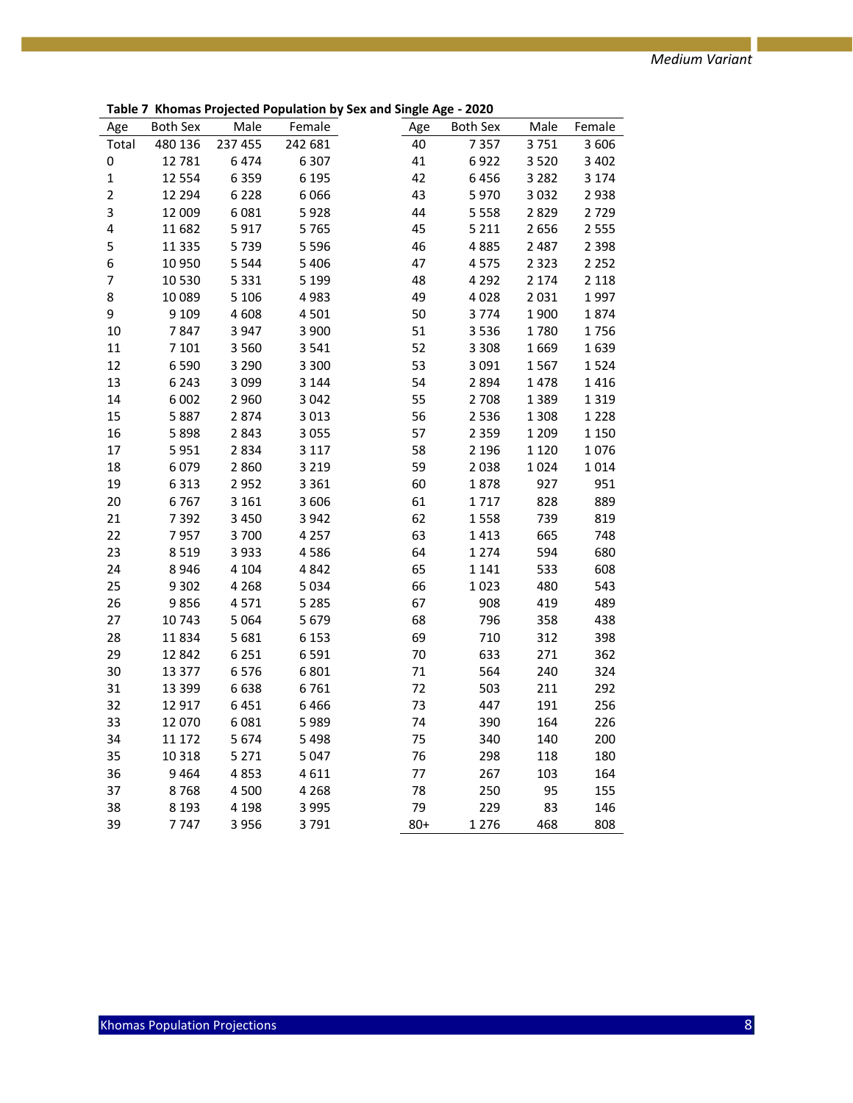**Table 7 Khomas Projected Population by Sex and Single Age - 2020**

| Age            |          | Both Sex Male | Female  | . <del>.</del><br>Age | Both Sex Male |              | Female  |
|----------------|----------|---------------|---------|-----------------------|---------------|--------------|---------|
| Total          | 480 136  | 237 455       | 242 681 | 40                    | 7 3 5 7       | 3751         | 3 6 0 6 |
| 0              | 12 781   | 6474          | 6 3 0 7 | 41                    | 6922          | 3520         | 3 4 0 2 |
| $\mathbf{1}$   | 12 5 54  | 6 3 5 9       | 6 1 9 5 | 42                    | 6456          | 3 2 8 2      | 3 1 7 4 |
| $\overline{2}$ | 12 2 9 4 | 6 2 2 8       | 6 0 6 6 | 43                    | 5970          | 3 0 3 2      | 2938    |
| 3              | 12 009   | 6 0 8 1       | 5928    | 44                    | 5 5 5 8       | 2829         | 2729    |
| 4              | 11 682   | 5917          | 5765    | 45                    | 5 2 1 1       | 2656         | 2 5 5 5 |
| 5              | 11 3 35  | 5739          | 5 5 9 6 | 46                    | 4885          | 2 4 8 7      | 2 3 9 8 |
| 6              | 10 950   | 5 5 4 4       | 5 4 0 6 | 47                    | 4575          | 2 3 2 3      | 2 2 5 2 |
| 7              | 10 530   | 5 3 3 1       | 5 1 9 9 | 48                    | 4 2 9 2       | 2 1 7 4      | 2 1 1 8 |
| 8              | 10 0 89  | 5 1 0 6       | 4983    | 49                    | 4028          | 2031         | 1997    |
| 9              | 9 1 0 9  | 4 6 0 8       | 4 5 0 1 | 50                    | 3774          |              |         |
| 10             | 7847     | 3 9 4 7       | 3 900   | 51                    |               | 1900<br>1780 | 1874    |
|                |          |               | 3 5 4 1 | 52                    | 3536          |              | 1756    |
| 11             | 7 1 0 1  | 3 5 6 0       |         | 53                    | 3 3 0 8       | 1669         | 1639    |
| 12             | 6 5 9 0  | 3 2 9 0       | 3 3 0 0 |                       | 3 0 9 1       | 1567         | 1524    |
| 13             | 6 2 4 3  | 3 0 9 9       | 3 1 4 4 | 54                    | 2894          | 1478         | 1416    |
| 14             | 6 0 0 2  | 2 9 6 0       | 3 0 4 2 | 55                    | 2 7 0 8       | 1389         | 1 3 1 9 |
| 15             | 5887     | 2874          | 3 0 1 3 | 56                    | 2 5 3 6       | 1 3 0 8      | 1 2 2 8 |
| 16             | 5898     | 2 8 4 3       | 3 0 5 5 | 57                    | 2 3 5 9       | 1 2 0 9      | 1 1 5 0 |
| 17             | 5951     | 2834          | 3 1 1 7 | 58                    | 2 1 9 6       | 1 1 2 0      | 1076    |
| 18             | 6079     | 2860          | 3 2 1 9 | 59                    | 2038          | 1024         | 1014    |
| 19             | 6 3 1 3  | 2952          | 3 3 6 1 | 60                    | 1878          | 927          | 951     |
| 20             | 6767     | 3 1 6 1       | 3 6 0 6 | 61                    | 1717          | 828          | 889     |
| 21             | 7 3 9 2  | 3 4 5 0       | 3 9 4 2 | 62                    | 1558          | 739          | 819     |
| 22             | 7957     | 3700          | 4 2 5 7 | 63                    | 1413          | 665          | 748     |
| 23             | 8 5 1 9  | 3 9 3 3       | 4586    | 64                    | 1 2 7 4       | 594          | 680     |
| 24             | 8 9 4 6  | 4 1 0 4       | 4 8 4 2 | 65                    | 1 1 4 1       | 533          | 608     |
| 25             | 9 3 0 2  | 4 2 6 8       | 5 0 3 4 | 66                    | 1023          | 480          | 543     |
| 26             | 9856     | 4571          | 5 2 8 5 | 67                    | 908           | 419          | 489     |
| 27             | 10743    | 5 0 6 4       | 5 6 7 9 | 68                    | 796           | 358          | 438     |
| 28             | 11834    | 5 6 8 1       | 6 1 5 3 | 69                    | 710           | 312          | 398     |
| 29             | 12 842   | 6 2 5 1       | 6 5 9 1 | 70                    | 633           | 271          | 362     |
| 30             | 13 377   | 6576          | 6 8 0 1 | 71                    | 564           | 240          | 324     |
| 31             | 13 3 9 9 | 6638          | 6761    | 72                    | 503           | 211          | 292     |
| 32             | 12 917   | 6451          | 6466    | 73                    | 447           | 191          | 256     |
| 33             | 12 070   | 6 0 8 1       | 5989    | 74                    | 390           | 164          | 226     |
| 34             | 11 172   | 5674          | 5 4 9 8 | 75                    | 340           | 140          | 200     |
| 35             | 10 3 18  | 5 2 7 1       | 5 0 4 7 | 76                    | 298           | 118          | 180     |
| 36             | 9464     | 4853          | 4611    | 77                    | 267           | 103          | 164     |
| 37             | 8768     | 4 500         | 4 2 6 8 | 78                    | 250           | 95           | 155     |
| 38             | 8 1 9 3  | 4 1 9 8       | 3 9 9 5 | 79                    | 229           | 83           | 146     |
| 39             | 7 7 4 7  | 3 9 5 6       | 3791    | $80+$                 | 1 2 7 6       | 468          | 808     |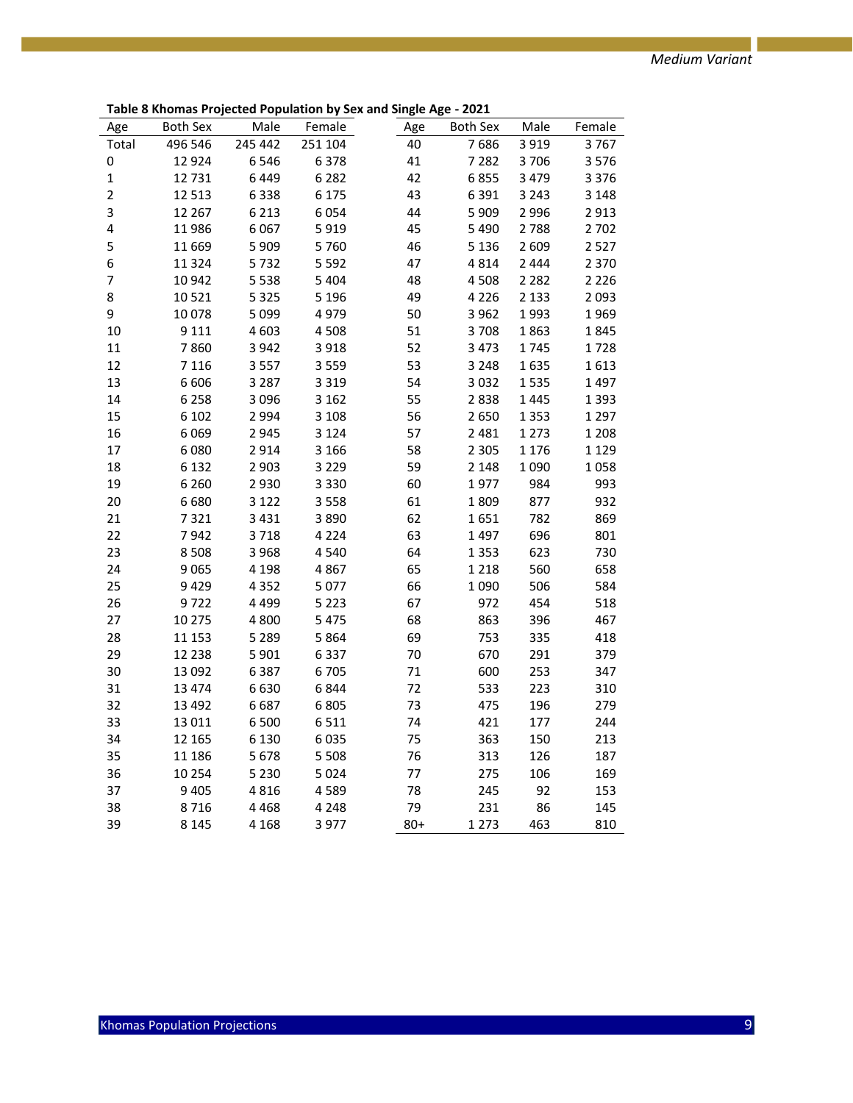| Age                      | <b>Both Sex</b> | Male    | Female  | Age | <b>Both Sex</b> | Male    | Female  |
|--------------------------|-----------------|---------|---------|-----|-----------------|---------|---------|
| Total                    | 496 546         | 245 442 | 251 104 | 40  | 7686            | 3 9 1 9 | 3767    |
| 0                        | 12 9 24         | 6546    | 6378    | 41  | 7 2 8 2         | 3706    | 3576    |
| $\mathbf 1$              | 12731           | 6449    | 6 2 8 2 | 42  | 6855            | 3 4 7 9 | 3 3 7 6 |
| $\overline{2}$           | 12 5 13         | 6338    | 6 175   | 43  | 6391            | 3 2 4 3 | 3 1 4 8 |
| 3                        | 12 267          | 6 2 1 3 | 6054    | 44  | 5 9 0 9         | 2 9 9 6 | 2913    |
| 4                        | 11986           | 6067    | 5919    | 45  | 5 4 9 0         | 2788    | 2702    |
| 5                        | 11 669          | 5 9 0 9 | 5760    | 46  | 5 1 3 6         | 2609    | 2527    |
| 6                        | 11 3 24         | 5732    | 5 5 9 2 | 47  | 4814            | 2 4 4 4 | 2 3 7 0 |
| $\overline{\mathcal{I}}$ | 10 942          | 5 5 3 8 | 5 4 0 4 | 48  | 4508            | 2 2 8 2 | 2 2 2 6 |
| 8                        | 10521           | 5 3 2 5 | 5 1 9 6 | 49  | 4 2 2 6         | 2 1 3 3 | 2093    |
| 9                        | 10078           | 5 0 9 9 | 4979    | 50  | 3 9 6 2         | 1993    | 1969    |
| $10\,$                   | 9 1 1 1         | 4603    | 4508    | 51  | 3708            | 1863    | 1845    |
| 11                       | 7860            | 3 9 4 2 | 3 9 1 8 | 52  | 3 4 7 3         | 1745    | 1728    |
| 12                       | 7 1 1 6         | 3 5 5 7 | 3 5 5 9 | 53  | 3 2 4 8         | 1635    | 1613    |
| 13                       | 6 6 0 6         | 3 2 8 7 | 3 3 1 9 | 54  | 3 0 3 2         | 1535    | 1497    |
| 14                       | 6 2 5 8         | 3 0 9 6 | 3 1 6 2 | 55  | 2838            | 1445    | 1 3 9 3 |
| 15                       | 6 1 0 2         | 2 9 9 4 | 3 1 0 8 | 56  | 2650            | 1353    | 1 2 9 7 |
| 16                       | 6069            | 2945    | 3 1 2 4 | 57  | 2 4 8 1         | 1273    | 1 2 0 8 |
| 17                       | 6080            | 2914    | 3 1 6 6 | 58  | 2 3 0 5         | 1 1 7 6 | 1 1 2 9 |
| 18                       | 6 1 3 2         | 2 9 0 3 | 3 2 2 9 | 59  | 2 1 4 8         | 1090    | 1058    |
| 19                       | 6 2 6 0         | 2930    | 3 3 3 0 | 60  | 1977            | 984     | 993     |
| 20                       | 6680            | 3 1 2 2 | 3 5 5 8 | 61  | 1809            | 877     | 932     |
| 21                       | 7321            | 3 4 3 1 | 3890    | 62  | 1651            | 782     | 869     |
| 22                       | 7942            | 3718    | 4 2 2 4 | 63  | 1497            | 696     | 801     |
| 23                       | 8 5 0 8         | 3 9 6 8 | 4 5 4 0 | 64  | 1353            | 623     | 730     |
| 24                       | 9065            | 4 1 9 8 | 4867    | 65  | 1 2 1 8         | 560     | 658     |
| 25                       | 9429            | 4 3 5 2 | 5 0 7 7 | 66  | 1090            | 506     | 584     |
| 26                       | 9722            | 4 4 9 9 | 5 2 2 3 | 67  | 972             | 454     | 518     |
| 27                       | 10 275          | 4800    | 5 4 7 5 | 68  | 863             | 396     | 467     |
| 28                       | 11 153          | 5 2 8 9 | 5864    | 69  | 753             | 335     | 418     |
| 29                       | 12 2 38         | 5 9 0 1 | 6337    | 70  | 670             | 291     | 379     |
| 30                       | 13 092          | 6387    | 6705    | 71  | 600             | 253     | 347     |
| 31                       | 13 4 74         | 6630    | 6844    | 72  | 533             | 223     | 310     |
| 32                       | 13 4 92         | 6687    | 6805    | 73  | 475             | 196     | 279     |
| 33                       | 13 0 11         | 6 500   | 6511    | 74  | 421             | 177     | 244     |
| 34                       | 12 165          | 6 1 3 0 | 6035    | 75  | 363             | 150     | 213     |
| 35                       | 11 186          | 5678    | 5 5 0 8 | 76  | 313             | 126     | 187     |
| 36                       | 10 254          | 5 2 3 0 | 5 0 2 4 | 77  | 275             | 106     | 169     |
| 37                       | 9 4 0 5         | 4816    | 4589    | 78  | 245             | 92      | 153     |
| 38                       | 8716            | 4 4 6 8 | 4 2 4 8 | 79  | 231             | 86      | 145     |
| 39                       | 8 1 4 5         | 4 1 6 8 | 3 9 7 7 | 80+ | 1 2 7 3         | 463     | 810     |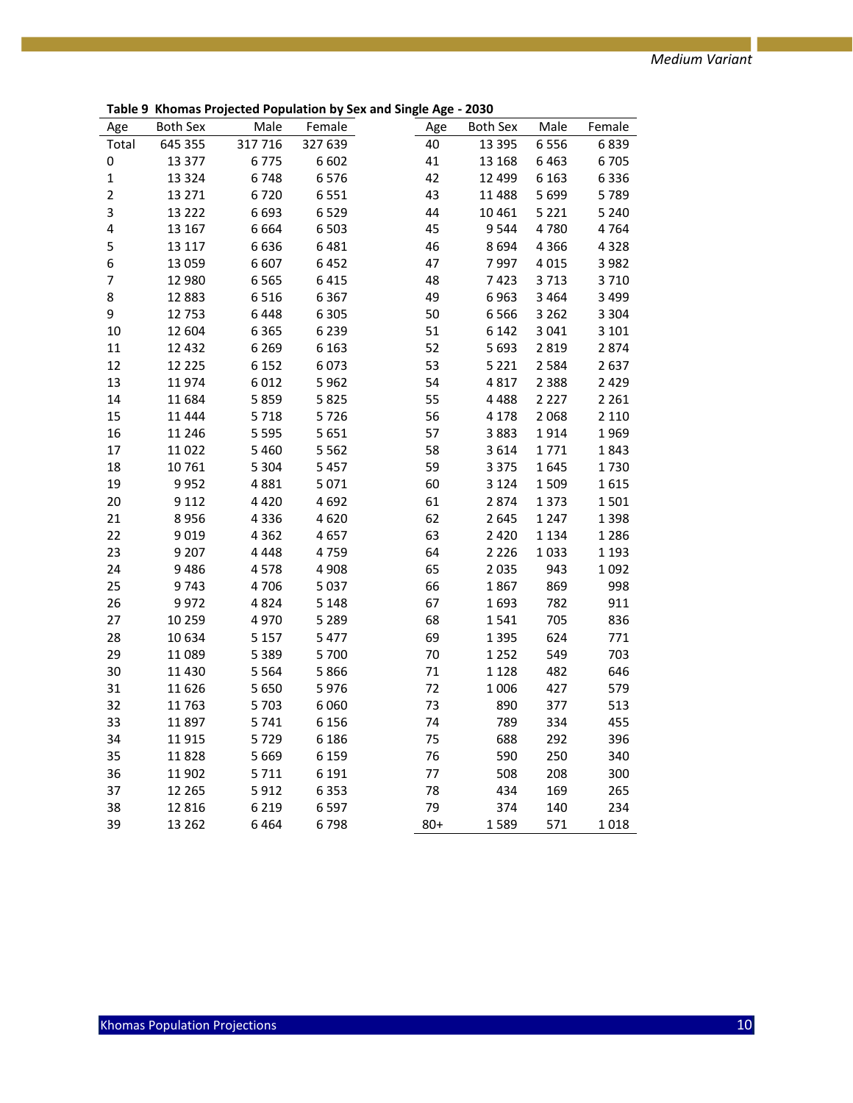**Table 9 Khomas Projected Population by Sex and Single Age - 2030**

| Age            | <b>Both Sex</b> | Male    | Female  | Age   | <b>Both Sex</b> | Male    | Female  |
|----------------|-----------------|---------|---------|-------|-----------------|---------|---------|
| Total          | 645 355         | 317716  | 327 639 | 40    | 13 3 95         | 6556    | 6839    |
| 0              | 13 377          | 6775    | 6 6 0 2 | 41    | 13 168          | 6463    | 6705    |
| $\mathbf 1$    | 13 3 24         | 6748    | 6576    | 42    | 12 4 9 9        | 6 1 6 3 | 6336    |
| $\overline{2}$ | 13 2 7 1        | 6720    | 6 5 5 1 | 43    | 11 488          | 5699    | 5789    |
| 3              | 13 2 2 2        | 6693    | 6529    | 44    | 10 4 61         | 5 2 2 1 | 5 2 4 0 |
| 4              | 13 167          | 6664    | 6 5 0 3 | 45    | 9544            | 4780    | 4764    |
| 5              | 13 117          | 6636    | 6481    | 46    | 8694            | 4 3 6 6 | 4328    |
| 6              | 13 0 59         | 6 6 0 7 | 6452    | 47    | 7997            | 4015    | 3 9 8 2 |
| $\overline{7}$ | 12 980          | 6565    | 6415    | 48    | 7423            | 3713    | 3710    |
| 8              | 12883           | 6516    | 6 3 6 7 | 49    | 6963            | 3 4 6 4 | 3 4 9 9 |
| 9              | 12753           | 6448    | 6 3 0 5 | 50    | 6566            | 3 2 6 2 | 3 3 0 4 |
| 10             | 12 604          | 6 3 6 5 | 6 2 3 9 | 51    | 6 1 4 2         | 3 0 4 1 | 3 1 0 1 |
| 11             | 12 4 32         | 6 2 6 9 | 6 1 6 3 | 52    | 5 6 9 3         | 2819    | 2874    |
| 12             | 12 2 2 5        | 6 1 5 2 | 6073    | 53    | 5 2 2 1         | 2584    | 2637    |
| 13             | 11974           | 6012    | 5962    | 54    | 4817            | 2 3 8 8 | 2 4 2 9 |
| 14             | 11 684          | 5859    | 5825    | 55    | 4488            | 2 2 2 7 | 2 2 6 1 |
| 15             | 11 4 4 4        | 5718    | 5726    | 56    | 4 1 7 8         | 2068    | 2 1 1 0 |
| 16             | 11 246          | 5 5 9 5 | 5 6 5 1 | 57    | 3883            | 1914    | 1969    |
| 17             | 11 0 22         | 5 4 6 0 | 5 5 6 2 | 58    | 3614            | 1771    | 1843    |
| 18             | 10761           | 5 3 0 4 | 5 4 5 7 | 59    | 3 3 7 5         | 1645    | 1730    |
| 19             | 9952            | 4881    | 5 0 7 1 | 60    | 3 1 2 4         | 1509    | 1615    |
| 20             | 9 1 1 2         | 4 4 2 0 | 4692    | 61    | 2874            | 1373    | 1501    |
| 21             | 8956            | 4 3 3 6 | 4620    | 62    | 2645            | 1 2 4 7 | 1398    |
| 22             | 9019            | 4 3 6 2 | 4657    | 63    | 2 4 2 0         | 1 1 3 4 | 1286    |
| 23             | 9 2 0 7         | 4 4 4 8 | 4759    | 64    | 2 2 2 6         | 1033    | 1 1 9 3 |
| 24             | 9486            | 4578    | 4 9 0 8 | 65    | 2035            | 943     | 1092    |
| 25             | 9743            | 4706    | 5 0 3 7 | 66    | 1867            | 869     | 998     |
| 26             | 9972            | 4824    | 5 1 4 8 | 67    | 1693            | 782     | 911     |
| 27             | 10 259          | 4970    | 5 2 8 9 | 68    | 1541            | 705     | 836     |
| 28             | 10634           | 5 1 5 7 | 5 4 7 7 | 69    | 1395            | 624     | 771     |
| 29             | 11 0 89         | 5 3 8 9 | 5 700   | 70    | 1 2 5 2         | 549     | 703     |
| 30             | 11 4 30         | 5 5 6 4 | 5866    | 71    | 1 1 2 8         | 482     | 646     |
| 31             | 11 6 26         | 5 6 5 0 | 5976    | 72    | 1006            | 427     | 579     |
| 32             | 11763           | 5703    | 6 0 6 0 | 73    | 890             | 377     | 513     |
| 33             | 11897           | 5741    | 6 1 5 6 | 74    | 789             | 334     | 455     |
| 34             | 11915           | 5729    | 6 1 8 6 | 75    | 688             | 292     | 396     |
| 35             | 11828           | 5 6 6 9 | 6 1 5 9 | 76    | 590             | 250     | 340     |
| 36             | 11 902          | 5711    | 6 1 9 1 | 77    | 508             | 208     | 300     |
| 37             | 12 2 65         | 5912    | 6 3 5 3 | 78    | 434             | 169     | 265     |
| 38             | 12816           | 6 2 1 9 | 6597    | 79    | 374             | 140     | 234     |
| 39             | 13 2 6 2        | 6464    | 6798    | $80+$ | 1589            | 571     | 1018    |